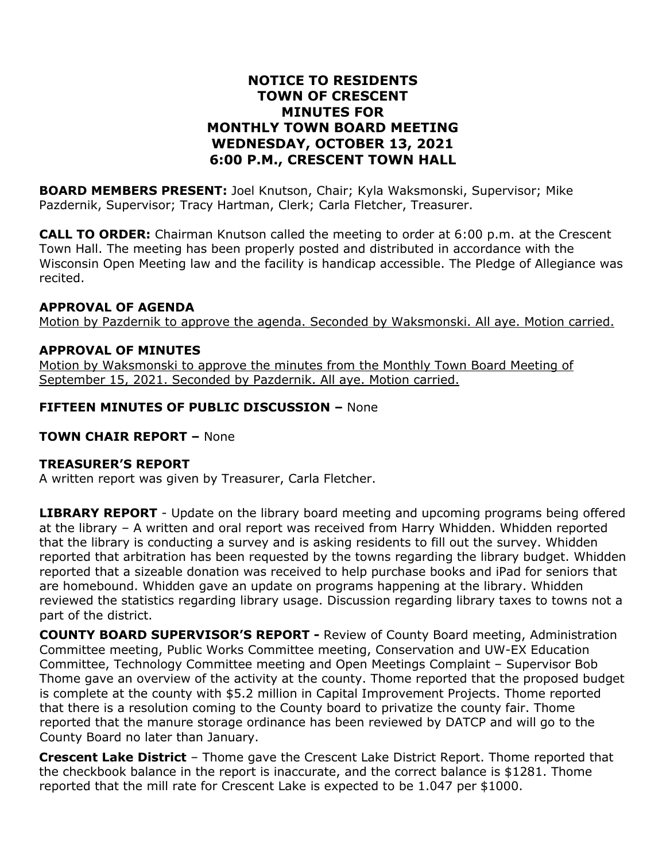### **NOTICE TO RESIDENTS TOWN OF CRESCENT MINUTES FOR MONTHLY TOWN BOARD MEETING WEDNESDAY, OCTOBER 13, 2021 6:00 P.M., CRESCENT TOWN HALL**

**BOARD MEMBERS PRESENT:** Joel Knutson, Chair; Kyla Waksmonski, Supervisor; Mike Pazdernik, Supervisor; Tracy Hartman, Clerk; Carla Fletcher, Treasurer.

**CALL TO ORDER:** Chairman Knutson called the meeting to order at 6:00 p.m. at the Crescent Town Hall. The meeting has been properly posted and distributed in accordance with the Wisconsin Open Meeting law and the facility is handicap accessible. The Pledge of Allegiance was recited.

#### **APPROVAL OF AGENDA**

Motion by Pazdernik to approve the agenda. Seconded by Waksmonski. All aye. Motion carried.

### **APPROVAL OF MINUTES**

Motion by Waksmonski to approve the minutes from the Monthly Town Board Meeting of September 15, 2021. Seconded by Pazdernik. All aye. Motion carried.

#### **FIFTEEN MINUTES OF PUBLIC DISCUSSION –** None

#### **TOWN CHAIR REPORT –** None

#### **TREASURER'S REPORT**

A written report was given by Treasurer, Carla Fletcher.

**LIBRARY REPORT** - Update on the library board meeting and upcoming programs being offered at the library – A written and oral report was received from Harry Whidden. Whidden reported that the library is conducting a survey and is asking residents to fill out the survey. Whidden reported that arbitration has been requested by the towns regarding the library budget. Whidden reported that a sizeable donation was received to help purchase books and iPad for seniors that are homebound. Whidden gave an update on programs happening at the library. Whidden reviewed the statistics regarding library usage. Discussion regarding library taxes to towns not a part of the district.

**COUNTY BOARD SUPERVISOR'S REPORT -** Review of County Board meeting, Administration Committee meeting, Public Works Committee meeting, Conservation and UW-EX Education Committee, Technology Committee meeting and Open Meetings Complaint – Supervisor Bob Thome gave an overview of the activity at the county. Thome reported that the proposed budget is complete at the county with \$5.2 million in Capital Improvement Projects. Thome reported that there is a resolution coming to the County board to privatize the county fair. Thome reported that the manure storage ordinance has been reviewed by DATCP and will go to the County Board no later than January.

**Crescent Lake District** – Thome gave the Crescent Lake District Report. Thome reported that the checkbook balance in the report is inaccurate, and the correct balance is \$1281. Thome reported that the mill rate for Crescent Lake is expected to be 1.047 per \$1000.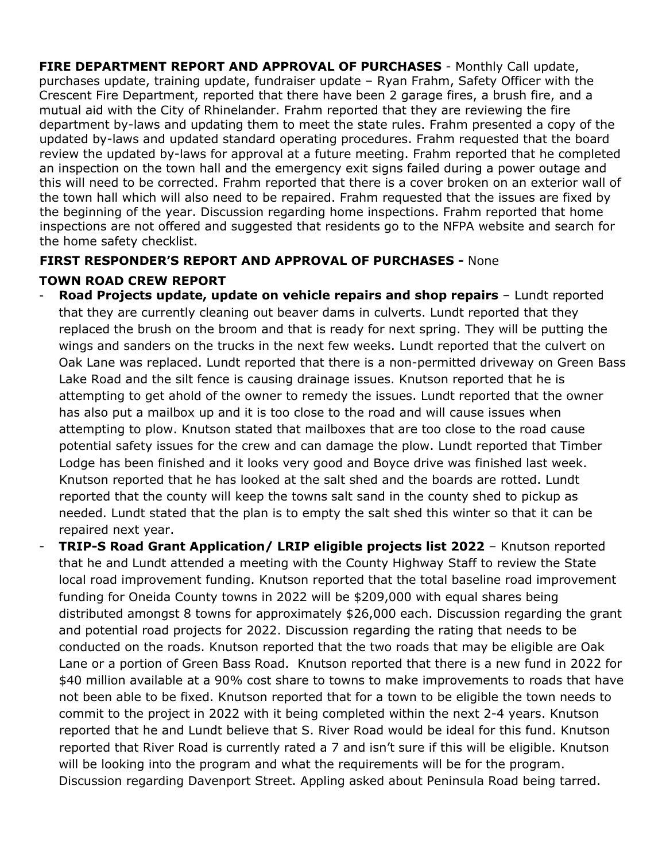**FIRE DEPARTMENT REPORT AND APPROVAL OF PURCHASES** - Monthly Call update, purchases update, training update, fundraiser update – Ryan Frahm, Safety Officer with the Crescent Fire Department, reported that there have been 2 garage fires, a brush fire, and a mutual aid with the City of Rhinelander. Frahm reported that they are reviewing the fire department by-laws and updating them to meet the state rules. Frahm presented a copy of the updated by-laws and updated standard operating procedures. Frahm requested that the board review the updated by-laws for approval at a future meeting. Frahm reported that he completed an inspection on the town hall and the emergency exit signs failed during a power outage and this will need to be corrected. Frahm reported that there is a cover broken on an exterior wall of the town hall which will also need to be repaired. Frahm requested that the issues are fixed by the beginning of the year. Discussion regarding home inspections. Frahm reported that home inspections are not offered and suggested that residents go to the NFPA website and search for the home safety checklist.

## **FIRST RESPONDER'S REPORT AND APPROVAL OF PURCHASES -** None

## **TOWN ROAD CREW REPORT**

- **Road Projects update, update on vehicle repairs and shop repairs** Lundt reported that they are currently cleaning out beaver dams in culverts. Lundt reported that they replaced the brush on the broom and that is ready for next spring. They will be putting the wings and sanders on the trucks in the next few weeks. Lundt reported that the culvert on Oak Lane was replaced. Lundt reported that there is a non-permitted driveway on Green Bass Lake Road and the silt fence is causing drainage issues. Knutson reported that he is attempting to get ahold of the owner to remedy the issues. Lundt reported that the owner has also put a mailbox up and it is too close to the road and will cause issues when attempting to plow. Knutson stated that mailboxes that are too close to the road cause potential safety issues for the crew and can damage the plow. Lundt reported that Timber Lodge has been finished and it looks very good and Boyce drive was finished last week. Knutson reported that he has looked at the salt shed and the boards are rotted. Lundt reported that the county will keep the towns salt sand in the county shed to pickup as needed. Lundt stated that the plan is to empty the salt shed this winter so that it can be repaired next year.
- **TRIP-S Road Grant Application/ LRIP eligible projects list 2022** Knutson reported that he and Lundt attended a meeting with the County Highway Staff to review the State local road improvement funding. Knutson reported that the total baseline road improvement funding for Oneida County towns in 2022 will be \$209,000 with equal shares being distributed amongst 8 towns for approximately \$26,000 each. Discussion regarding the grant and potential road projects for 2022. Discussion regarding the rating that needs to be conducted on the roads. Knutson reported that the two roads that may be eligible are Oak Lane or a portion of Green Bass Road. Knutson reported that there is a new fund in 2022 for \$40 million available at a 90% cost share to towns to make improvements to roads that have not been able to be fixed. Knutson reported that for a town to be eligible the town needs to commit to the project in 2022 with it being completed within the next 2-4 years. Knutson reported that he and Lundt believe that S. River Road would be ideal for this fund. Knutson reported that River Road is currently rated a 7 and isn't sure if this will be eligible. Knutson will be looking into the program and what the requirements will be for the program. Discussion regarding Davenport Street. Appling asked about Peninsula Road being tarred.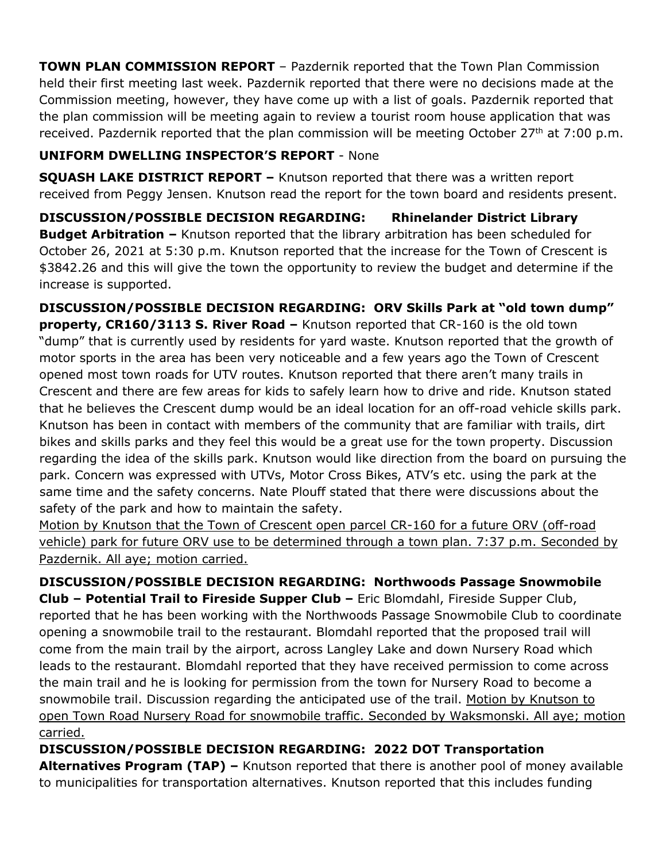**TOWN PLAN COMMISSION REPORT** – Pazdernik reported that the Town Plan Commission held their first meeting last week. Pazdernik reported that there were no decisions made at the Commission meeting, however, they have come up with a list of goals. Pazdernik reported that the plan commission will be meeting again to review a tourist room house application that was received. Pazdernik reported that the plan commission will be meeting October 27<sup>th</sup> at 7:00 p.m.

## **UNIFORM DWELLING INSPECTOR'S REPORT** - None

**SQUASH LAKE DISTRICT REPORT –** Knutson reported that there was a written report received from Peggy Jensen. Knutson read the report for the town board and residents present.

**DISCUSSION/POSSIBLE DECISION REGARDING: Rhinelander District Library Budget Arbitration –** Knutson reported that the library arbitration has been scheduled for October 26, 2021 at 5:30 p.m. Knutson reported that the increase for the Town of Crescent is \$3842.26 and this will give the town the opportunity to review the budget and determine if the increase is supported.

**DISCUSSION/POSSIBLE DECISION REGARDING: ORV Skills Park at "old town dump" property, CR160/3113 S. River Road –** Knutson reported that CR-160 is the old town "dump" that is currently used by residents for yard waste. Knutson reported that the growth of motor sports in the area has been very noticeable and a few years ago the Town of Crescent opened most town roads for UTV routes. Knutson reported that there aren't many trails in Crescent and there are few areas for kids to safely learn how to drive and ride. Knutson stated that he believes the Crescent dump would be an ideal location for an off-road vehicle skills park. Knutson has been in contact with members of the community that are familiar with trails, dirt bikes and skills parks and they feel this would be a great use for the town property. Discussion regarding the idea of the skills park. Knutson would like direction from the board on pursuing the park. Concern was expressed with UTVs, Motor Cross Bikes, ATV's etc. using the park at the same time and the safety concerns. Nate Plouff stated that there were discussions about the safety of the park and how to maintain the safety.

Motion by Knutson that the Town of Crescent open parcel CR-160 for a future ORV (off-road vehicle) park for future ORV use to be determined through a town plan. 7:37 p.m. Seconded by Pazdernik. All aye; motion carried.

**DISCUSSION/POSSIBLE DECISION REGARDING: Northwoods Passage Snowmobile Club – Potential Trail to Fireside Supper Club –** Eric Blomdahl, Fireside Supper Club, reported that he has been working with the Northwoods Passage Snowmobile Club to coordinate opening a snowmobile trail to the restaurant. Blomdahl reported that the proposed trail will come from the main trail by the airport, across Langley Lake and down Nursery Road which leads to the restaurant. Blomdahl reported that they have received permission to come across the main trail and he is looking for permission from the town for Nursery Road to become a snowmobile trail. Discussion regarding the anticipated use of the trail. Motion by Knutson to open Town Road Nursery Road for snowmobile traffic. Seconded by Waksmonski. All aye; motion carried.

**DISCUSSION/POSSIBLE DECISION REGARDING: 2022 DOT Transportation**

**Alternatives Program (TAP) –** Knutson reported that there is another pool of money available to municipalities for transportation alternatives. Knutson reported that this includes funding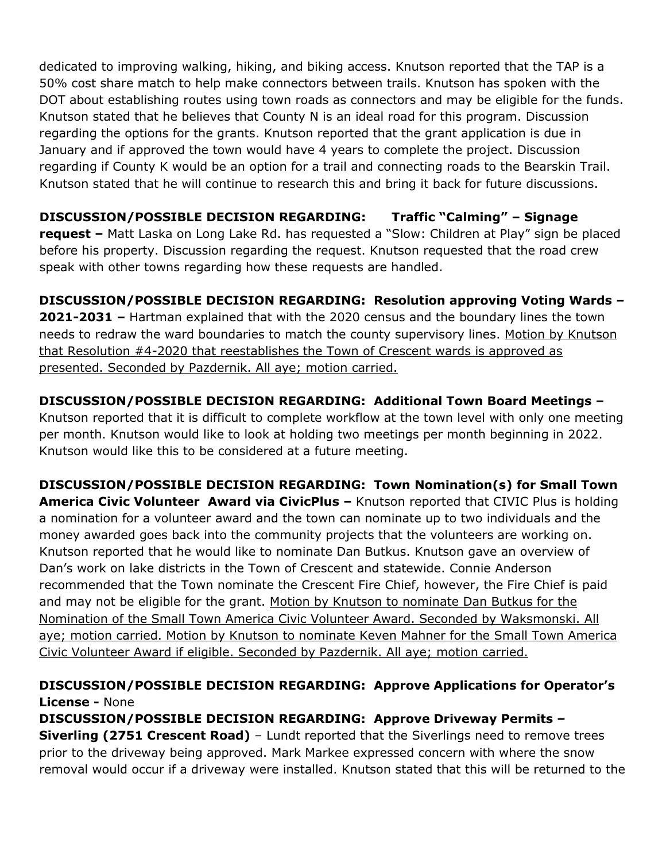dedicated to improving walking, hiking, and biking access. Knutson reported that the TAP is a 50% cost share match to help make connectors between trails. Knutson has spoken with the DOT about establishing routes using town roads as connectors and may be eligible for the funds. Knutson stated that he believes that County N is an ideal road for this program. Discussion regarding the options for the grants. Knutson reported that the grant application is due in January and if approved the town would have 4 years to complete the project. Discussion regarding if County K would be an option for a trail and connecting roads to the Bearskin Trail. Knutson stated that he will continue to research this and bring it back for future discussions.

**DISCUSSION/POSSIBLE DECISION REGARDING: Traffic "Calming" – Signage request –** Matt Laska on Long Lake Rd. has requested a "Slow: Children at Play" sign be placed before his property. Discussion regarding the request. Knutson requested that the road crew speak with other towns regarding how these requests are handled.

**DISCUSSION/POSSIBLE DECISION REGARDING: Resolution approving Voting Wards – 2021-2031 –** Hartman explained that with the 2020 census and the boundary lines the town needs to redraw the ward boundaries to match the county supervisory lines. Motion by Knutson that Resolution #4-2020 that reestablishes the Town of Crescent wards is approved as presented. Seconded by Pazdernik. All aye; motion carried.

**DISCUSSION/POSSIBLE DECISION REGARDING: Additional Town Board Meetings –** Knutson reported that it is difficult to complete workflow at the town level with only one meeting per month. Knutson would like to look at holding two meetings per month beginning in 2022. Knutson would like this to be considered at a future meeting.

**DISCUSSION/POSSIBLE DECISION REGARDING: Town Nomination(s) for Small Town America Civic Volunteer Award via CivicPlus –** Knutson reported that CIVIC Plus is holding a nomination for a volunteer award and the town can nominate up to two individuals and the money awarded goes back into the community projects that the volunteers are working on. Knutson reported that he would like to nominate Dan Butkus. Knutson gave an overview of Dan's work on lake districts in the Town of Crescent and statewide. Connie Anderson recommended that the Town nominate the Crescent Fire Chief, however, the Fire Chief is paid and may not be eligible for the grant. Motion by Knutson to nominate Dan Butkus for the Nomination of the Small Town America Civic Volunteer Award. Seconded by Waksmonski. All aye; motion carried. Motion by Knutson to nominate Keven Mahner for the Small Town America Civic Volunteer Award if eligible. Seconded by Pazdernik. All aye; motion carried.

# **DISCUSSION/POSSIBLE DECISION REGARDING: Approve Applications for Operator's License -** None

**DISCUSSION/POSSIBLE DECISION REGARDING: Approve Driveway Permits – Siverling (2751 Crescent Road)** – Lundt reported that the Siverlings need to remove trees prior to the driveway being approved. Mark Markee expressed concern with where the snow removal would occur if a driveway were installed. Knutson stated that this will be returned to the